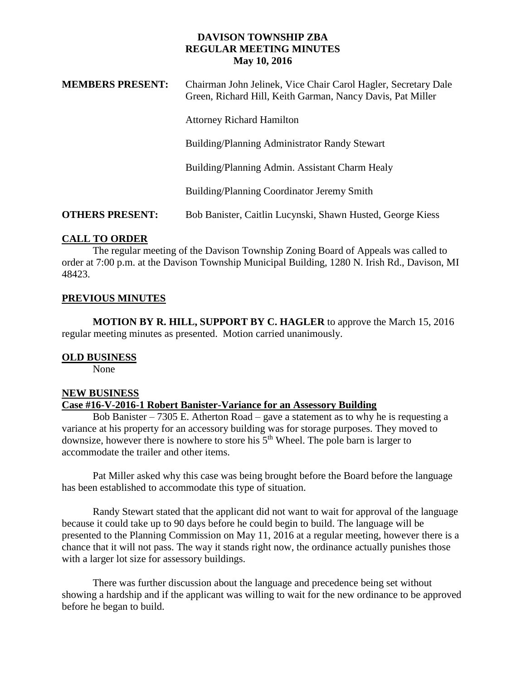## **DAVISON TOWNSHIP ZBA REGULAR MEETING MINUTES May 10, 2016**

| <b>MEMBERS PRESENT:</b> | Chairman John Jelinek, Vice Chair Carol Hagler, Secretary Dale<br>Green, Richard Hill, Keith Garman, Nancy Davis, Pat Miller |
|-------------------------|------------------------------------------------------------------------------------------------------------------------------|
|                         | <b>Attorney Richard Hamilton</b>                                                                                             |
|                         | Building/Planning Administrator Randy Stewart                                                                                |
|                         | Building/Planning Admin. Assistant Charm Healy                                                                               |
|                         | Building/Planning Coordinator Jeremy Smith                                                                                   |
| <b>OTHERS PRESENT:</b>  | Bob Banister, Caitlin Lucynski, Shawn Husted, George Kiess                                                                   |

# **CALL TO ORDER**

The regular meeting of the Davison Township Zoning Board of Appeals was called to order at 7:00 p.m. at the Davison Township Municipal Building, 1280 N. Irish Rd., Davison, MI 48423.

# **PREVIOUS MINUTES**

**MOTION BY R. HILL, SUPPORT BY C. HAGLER** to approve the March 15, 2016 regular meeting minutes as presented. Motion carried unanimously.

# **OLD BUSINESS**

None

## **NEW BUSINESS**

## **Case #16-V-2016-1 Robert Banister-Variance for an Assessory Building**

Bob Banister – 7305 E. Atherton Road – gave a statement as to why he is requesting a variance at his property for an accessory building was for storage purposes. They moved to downsize, however there is nowhere to store his  $5<sup>th</sup>$  Wheel. The pole barn is larger to accommodate the trailer and other items.

Pat Miller asked why this case was being brought before the Board before the language has been established to accommodate this type of situation.

Randy Stewart stated that the applicant did not want to wait for approval of the language because it could take up to 90 days before he could begin to build. The language will be presented to the Planning Commission on May 11, 2016 at a regular meeting, however there is a chance that it will not pass. The way it stands right now, the ordinance actually punishes those with a larger lot size for assessory buildings.

There was further discussion about the language and precedence being set without showing a hardship and if the applicant was willing to wait for the new ordinance to be approved before he began to build.